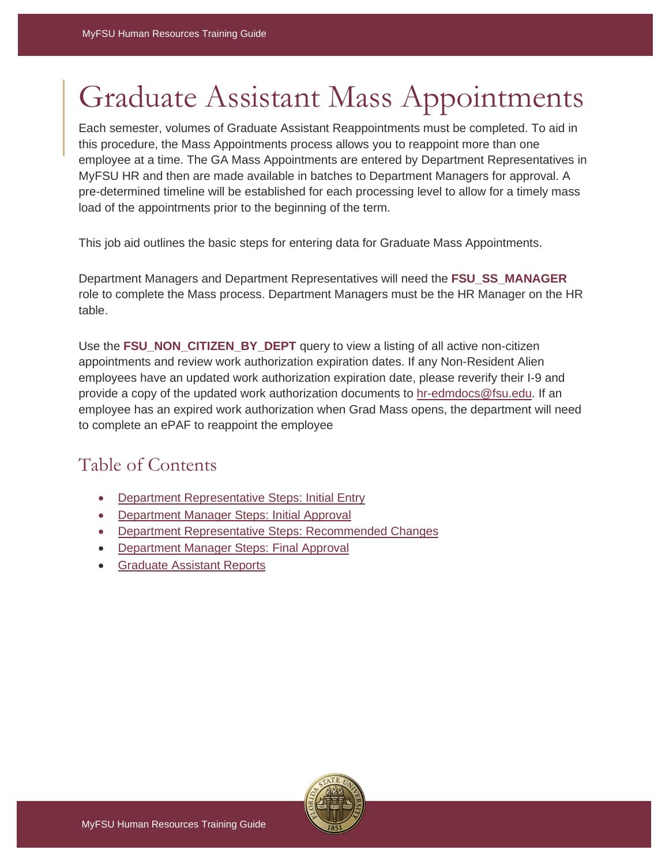# Graduate Assistant Mass Appointments

Each semester, volumes of Graduate Assistant Reappointments must be completed. To aid in this procedure, the Mass Appointments process allows you to reappoint more than one employee at a time. The GA Mass Appointments are entered by Department Representatives in MyFSU HR and then are made available in batches to Department Managers for approval. A pre-determined timeline will be established for each processing level to allow for a timely mass load of the appointments prior to the beginning of the term.

This job aid outlines the basic steps for entering data for Graduate Mass Appointments.

Department Managers and Department Representatives will need the **FSU\_SS\_MANAGER** role to complete the Mass process. Department Managers must be the HR Manager on the HR table.

Use the **FSU\_NON\_CITIZEN\_BY\_DEPT** query to view a listing of all active non-citizen appointments and review work authorization expiration dates. If any Non-Resident Alien employees have an updated work authorization expiration date, please reverify their I-9 and provide a copy of the updated work authorization documents to [hr-edmdocs@fsu.edu.](mailto:hr-edmdocs@fsu.edu) If an employee has an expired work authorization when Grad Mass opens, the department will need to complete an ePAF to reappoint the employee

# Table of Contents

- [Department Representative Steps:](#page-0-0) Initial Entr[y](#page-0-0)
- [Department Manager Steps:](#page-6-0) Initial Approv[al](#page-6-0)
- [Department Representative Steps:](#page-9-0) Recommended Change[s](#page-9-0)
- [Department Manager Steps:](#page-10-0) Final Approval
- <span id="page-0-0"></span>• [Graduate Assistant Reports](#page-10-1)

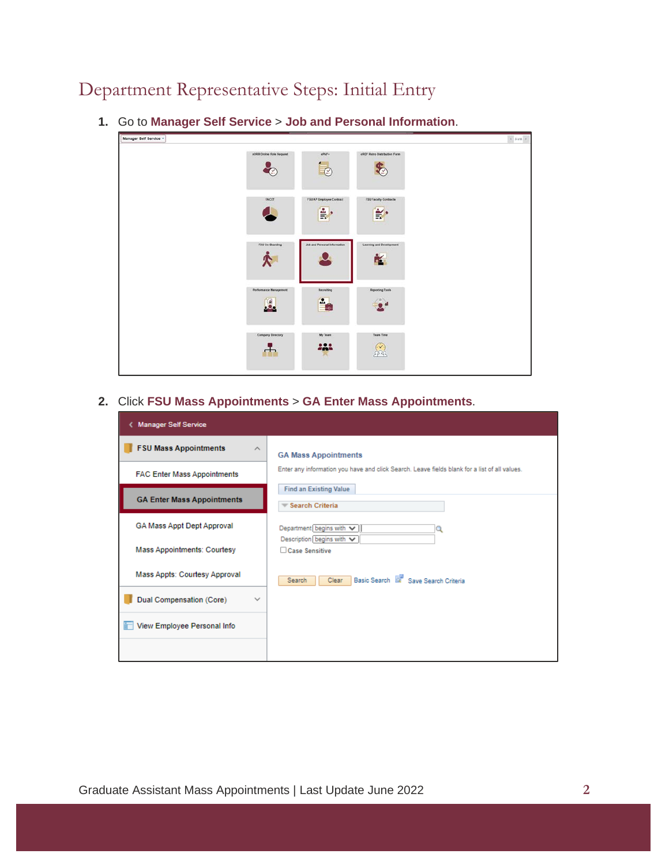# Department Representative Steps: Initial Entry

| Manager Self Service . |                          |                               |                                 |  |
|------------------------|--------------------------|-------------------------------|---------------------------------|--|
|                        | #ORR Online Role Request | <b>IPAF+</b><br>$\mathbb{C}$  | eRDF Retro Distribution Form    |  |
|                        | FACET                    | FSU AP Employee Contract<br>Ě | FSU Faculty Contracts<br>È      |  |
|                        | FSU De-Boarding          | Job and Personal Information  | Learning and Development<br>- 1 |  |
|                        | Performance Management   | Recruiting<br>Ŀ.              | <b>Reporting Tools</b>          |  |
|                        | Company Directory        | My Team<br>222                | Team Time                       |  |

**1.** Go to **Manager Self Service** > **Job and Personal Information**.

**2.** Click **FSU Mass Appointments** > **GA Enter Mass Appointments**.

| <b>Manager Self Service</b>              |                                                                                               |
|------------------------------------------|-----------------------------------------------------------------------------------------------|
| <b>FSU Mass Appointments</b><br>$\wedge$ | <b>GA Mass Appointments</b>                                                                   |
| <b>FAC Enter Mass Appointments</b>       | Enter any information you have and click Search. Leave fields blank for a list of all values. |
| <b>GA Enter Mass Appointments</b>        | <b>Find an Existing Value</b><br>Search Criteria                                              |
| GA Mass Appt Dept Approval               | Department begins with $\vee$<br>Description begins with v                                    |
| Mass Appointments: Courtesy              | Case Sensitive                                                                                |
| Mass Appts: Courtesy Approval            | Basic Search <b>Ex Save Search Criteria</b><br>Clear<br>Search                                |
| Dual Compensation (Core)<br>$\checkmark$ |                                                                                               |
| View Employee Personal Info              |                                                                                               |
|                                          |                                                                                               |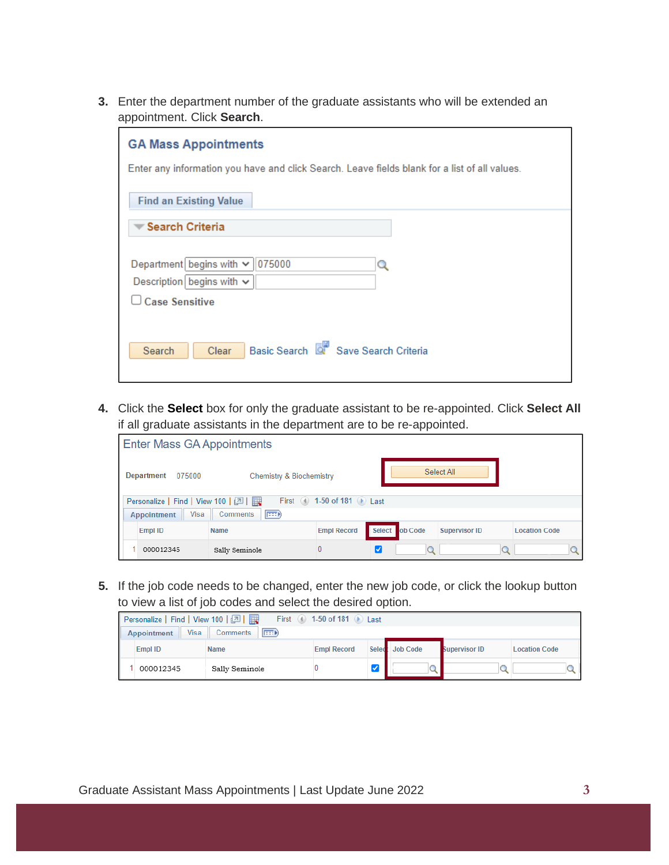**3.** Enter the department number of the graduate assistants who will be extended an appointment. Click **Search**.

| <b>GA Mass Appointments</b>                                                                   |  |  |  |  |  |
|-----------------------------------------------------------------------------------------------|--|--|--|--|--|
| Enter any information you have and click Search. Leave fields blank for a list of all values. |  |  |  |  |  |
| <b>Find an Existing Value</b>                                                                 |  |  |  |  |  |
| ▼ Search Criteria                                                                             |  |  |  |  |  |
| Department begins with $\vee$<br>075000<br>Q                                                  |  |  |  |  |  |
| Description begins with $\sim$                                                                |  |  |  |  |  |
| <b>Case Sensitive</b>                                                                         |  |  |  |  |  |
|                                                                                               |  |  |  |  |  |
| Basic Search Q Save Search Criteria<br>Clear<br>Search                                        |  |  |  |  |  |
|                                                                                               |  |  |  |  |  |

**4.** Click the **Select** box for only the graduate assistant to be re-appointed. Click **Select All** if all graduate assistants in the department are to be re-appointed.

| Enter Mass GA Appointments                                     |                                |                            |  |                |                      |  |                      |  |
|----------------------------------------------------------------|--------------------------------|----------------------------|--|----------------|----------------------|--|----------------------|--|
| Select All<br>Department<br>075000<br>Chemistry & Biochemistry |                                |                            |  |                |                      |  |                      |  |
| Personalize   Find   View 100   2                              |                                | First 4 1-50 of 181 D Last |  |                |                      |  |                      |  |
| <b>Visa</b><br><b>Appointment</b>                              | $\boxed{=}$<br><b>Comments</b> |                            |  |                |                      |  |                      |  |
| <b>Empl ID</b>                                                 | <b>Name</b>                    | <b>Empl Record</b>         |  | Select ob Code | <b>Supervisor ID</b> |  | <b>Location Code</b> |  |
| 000012345                                                      | Sally Seminole                 | 0                          |  |                |                      |  |                      |  |

**5.** If the job code needs to be changed, enter the new job code, or click the lookup button to view a list of job codes and select the desired option.

| First 4 1-50 of 181 D Last<br>Personalize   Find   View 100   2    |                |                    |  |                 |                      |                      |  |
|--------------------------------------------------------------------|----------------|--------------------|--|-----------------|----------------------|----------------------|--|
| <b>Visa</b><br><b>EBD</b><br><b>Appointment</b><br><b>Comments</b> |                |                    |  |                 |                      |                      |  |
| Empl ID                                                            | <b>Name</b>    | <b>Empl Record</b> |  | Select Job Code | <b>Supervisor ID</b> | <b>Location Code</b> |  |
| 000012345                                                          | Sally Seminole |                    |  |                 |                      |                      |  |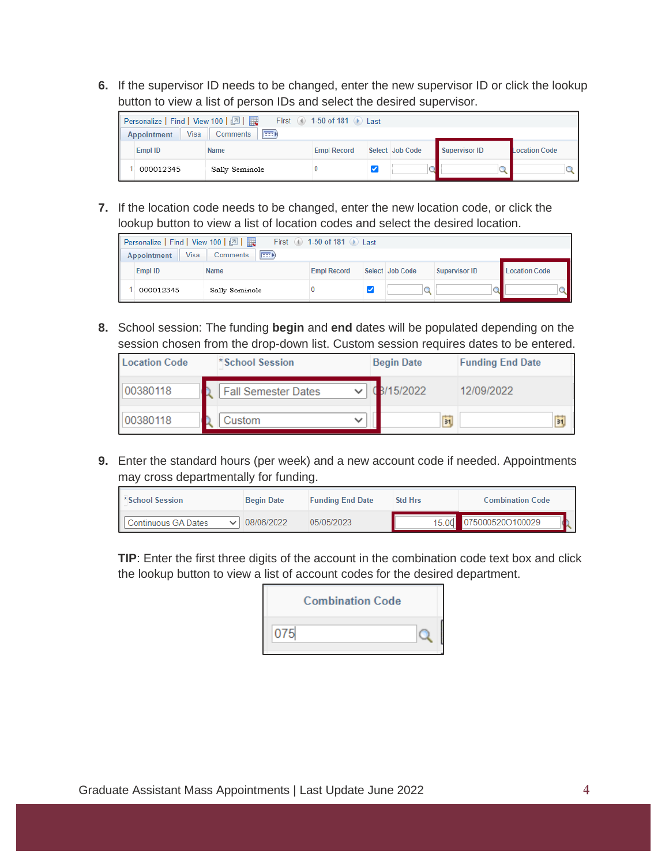**6.** If the supervisor ID needs to be changed, enter the new supervisor ID or click the lookup button to view a list of person IDs and select the desired supervisor.



**7.** If the location code needs to be changed, enter the new location code, or click the lookup button to view a list of location codes and select the desired location.

| First 4 1-50 of 181 D Last<br>Personalize   Find   View 100   2   2 |                    |  |                 |                      |               |  |  |  |
|---------------------------------------------------------------------|--------------------|--|-----------------|----------------------|---------------|--|--|--|
| Visa<br>(EEE)<br>Comments<br><b>Appointment</b>                     |                    |  |                 |                      |               |  |  |  |
| <b>Empl ID</b>                                                      | <b>Empl Record</b> |  | Select Job Code | <b>Supervisor ID</b> | Location Code |  |  |  |
| 000012345                                                           | Sally Seminole     |  |                 |                      |               |  |  |  |

**8.** School session: The funding **begin** and **end** dates will be populated depending on the session chosen from the drop-down list. Custom session requires dates to be entered.

| <b>Location Code</b> | *School Session            | <b>Begin Date</b>            | <b>Funding End Date</b> |
|----------------------|----------------------------|------------------------------|-------------------------|
| 00380118             | <b>Fall Semester Dates</b> | 3/15/2022                    | 12/09/2022              |
| 00380118             | Custom                     | $\overline{\mathbf{B}}$<br>ີ | ħ                       |

**9.** Enter the standard hours (per week) and a new account code if needed. Appointments may cross departmentally for funding.

| <b>School Session</b>   | <b>Begin Date</b> | <b>Funding End Date</b> | <b>Std Hrs</b> | <b>Combination Code</b> |
|-------------------------|-------------------|-------------------------|----------------|-------------------------|
| III Continuous GA Dates | 08/06/2022        | 05/05/2023              |                | 15.00 075000520O100029  |

**TIP**: Enter the first three digits of the account in the combination code text box and click the lookup button to view a list of account codes for the desired department.

|     | <b>Combination Code</b> |  |
|-----|-------------------------|--|
| 075 |                         |  |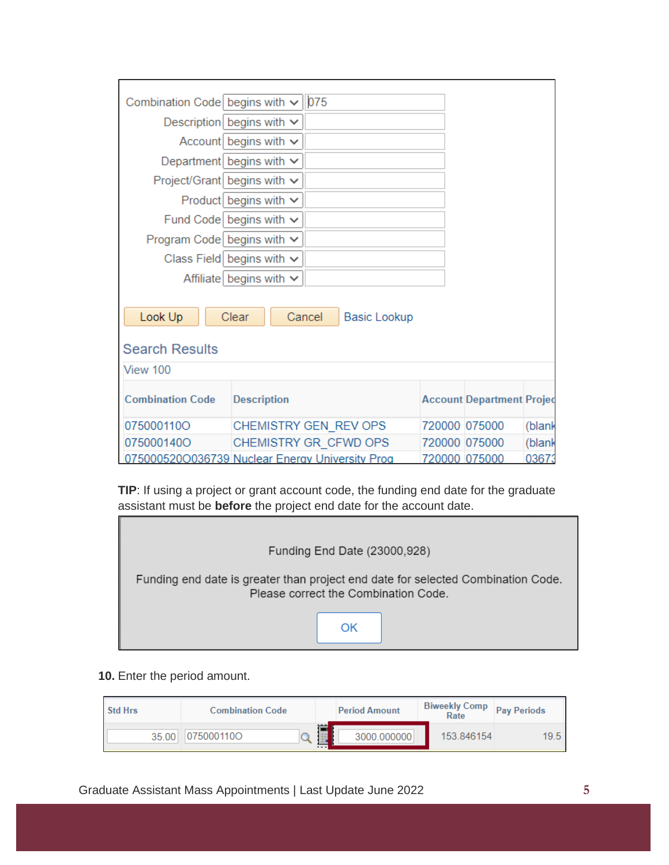| Combination Code begins with $\vee$   075       |                                |                               |                                  |        |
|-------------------------------------------------|--------------------------------|-------------------------------|----------------------------------|--------|
|                                                 | Description begins with $\vee$ |                               |                                  |        |
|                                                 | Account begins with $\sim$     |                               |                                  |        |
|                                                 | Department begins with $\vee$  |                               |                                  |        |
| Project/Grant begins with $\vee$                |                                |                               |                                  |        |
|                                                 | Product begins with $\vee$     |                               |                                  |        |
|                                                 | Fund Code begins with $\vee$   |                               |                                  |        |
| Program Code begins with $\vee$                 |                                |                               |                                  |        |
|                                                 | Class Field begins with $\vee$ |                               |                                  |        |
|                                                 | Affiliate begins with $\sim$   |                               |                                  |        |
| Look Up                                         | Clear                          | Cancel<br><b>Basic Lookup</b> |                                  |        |
|                                                 |                                |                               |                                  |        |
| <b>Search Results</b>                           |                                |                               |                                  |        |
| View 100                                        |                                |                               |                                  |        |
| <b>Combination Code</b>                         | <b>Description</b>             |                               | <b>Account Department Projec</b> |        |
| 075000110O                                      |                                | CHEMISTRY GEN REV OPS         | 720000 075000                    | (blank |
| 075000140O                                      |                                | CHEMISTRY GR CFWD OPS         | 720000 075000                    | (blank |
| 075000520O036739 Nuclear Energy University Prog |                                |                               | 720000 075000                    | 03673  |

**TIP**: If using a project or grant account code, the funding end date for the graduate assistant must be **before** the project end date for the account date.

| Funding End Date (23000,928)                                                                                             |  |  |  |  |  |  |  |
|--------------------------------------------------------------------------------------------------------------------------|--|--|--|--|--|--|--|
| Funding end date is greater than project end date for selected Combination Code.<br>Please correct the Combination Code. |  |  |  |  |  |  |  |
| ΩK                                                                                                                       |  |  |  |  |  |  |  |

**10.** Enter the period amount.

Г

| Std Hrs | <b>Combination Code</b> |              | <b>Period Amount</b> | <b>Biweekly Comp</b><br>Rate | <b>Pay Periods</b> |
|---------|-------------------------|--------------|----------------------|------------------------------|--------------------|
| 35.00   | 0750001100              | 画<br>$- - -$ | 3000.000000          | 153.846154                   | 19.5               |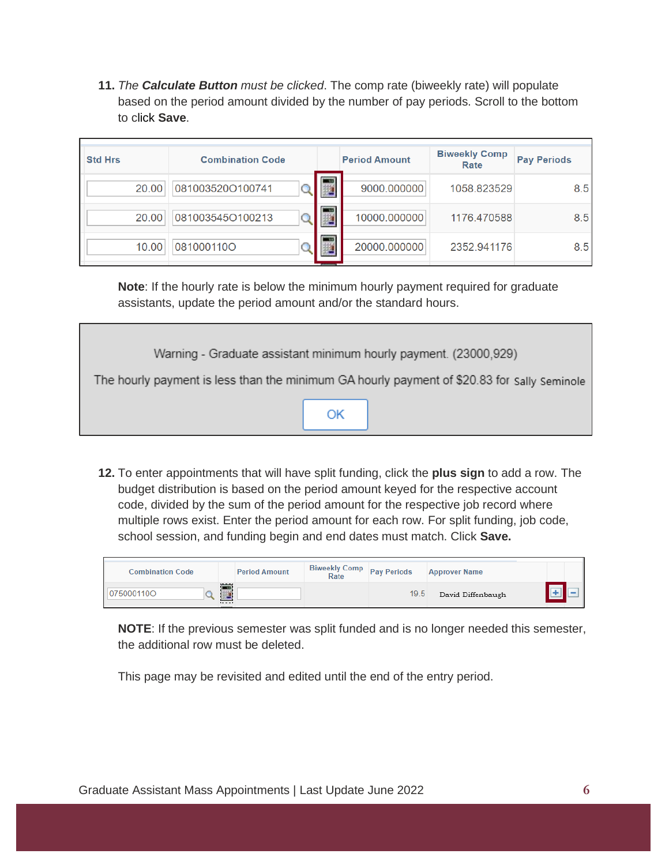**11.** *The Calculate Button must be clicked*. The comp rate (biweekly rate) will populate based on the period amount divided by the number of pay periods. Scroll to the bottom to click **Save**.

| <b>Std Hrs</b> | <b>Combination Code</b> |                          | <b>Period Amount</b> | <b>Biweekly Comp</b><br>Rate | <b>Pay Periods</b> |
|----------------|-------------------------|--------------------------|----------------------|------------------------------|--------------------|
| 20.00          | 081003520O100741        | $\overline{\phantom{a}}$ | 9000.000000          | 1058.823529                  | 8.5                |
| 20.00          | 081003545O100213        | <b>TELES</b>             | 10000.000000         | 1176.470588                  | 8.5                |
| 10.00          | 081000110O              | $\overline{\phantom{a}}$ | 20000.000000         | 2352.941176                  | 8.5                |

**Note**: If the hourly rate is below the minimum hourly payment required for graduate assistants, update the period amount and/or the standard hours.

| Warning - Graduate assistant minimum hourly payment. (23000,929)                            |  |  |  |  |  |
|---------------------------------------------------------------------------------------------|--|--|--|--|--|
| The hourly payment is less than the minimum GA hourly payment of \$20.83 for sally seminole |  |  |  |  |  |
|                                                                                             |  |  |  |  |  |
|                                                                                             |  |  |  |  |  |
|                                                                                             |  |  |  |  |  |

**12.** To enter appointments that will have split funding, click the **plus sign** to add a row. The budget distribution is based on the period amount keyed for the respective account code, divided by the sum of the period amount for the respective job record where multiple rows exist. Enter the period amount for each row. For split funding, job code, school session, and funding begin and end dates must match. Click **Save.**

| <b>Combination Code</b> | <b>Period Amount</b>   | Biweekly Comp Pay Periods<br>Rate |      | <b>Approver Name</b> |  |
|-------------------------|------------------------|-----------------------------------|------|----------------------|--|
| 0750001100              | 120.000<br>$1 - 1 - 1$ |                                   | 19.5 | David Diffenbaugh    |  |

**NOTE**: If the previous semester was split funded and is no longer needed this semester, the additional row must be deleted.

This page may be revisited and edited until the end of the entry period.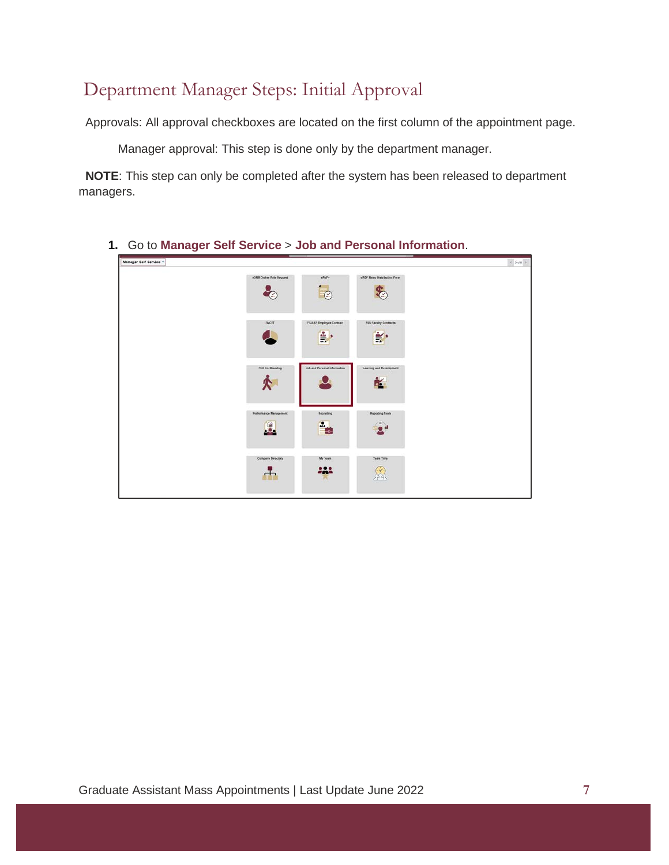# <span id="page-6-0"></span>Department Manager Steps: Initial Approval

Approvals: All approval checkboxes are located on the first column of the appointment page.

Manager approval: This step is done only by the department manager.

 **NOTE**: This step can only be completed after the system has been released to department managers.

- Manager Self Service .  $\left\langle \cdot \right\rangle _{3d0}$  )  $\overline{\odot}$  $\clubsuit$ ♣  $\frac{2}{\pi}$ . ¥.  $\bullet$  $\mathbf{v}$ ò. ÷. P.  $2<sup>d</sup>$  $\sum_{i=1}^{n}$ 击 222
- **1.** Go to **Manager Self Service** > **Job and Personal Information**.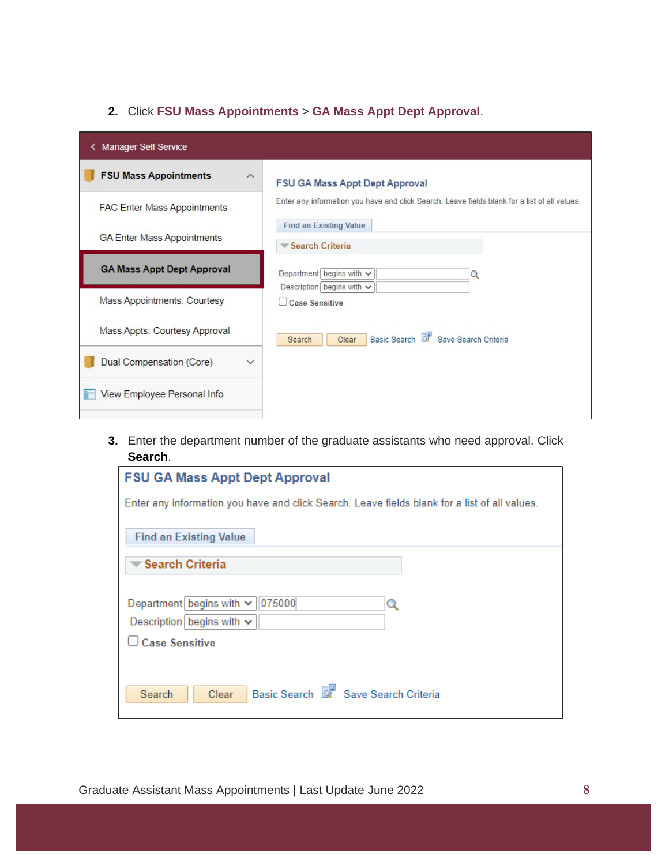#### **2.** Click **FSU Mass Appointments** > **GA Mass Appt Dept Approval**.

| <b>Manager Self Service</b>              |                                                                                                                                |
|------------------------------------------|--------------------------------------------------------------------------------------------------------------------------------|
| <b>FSU Mass Appointments</b><br>$\wedge$ | <b>FSU GA Mass Appt Dept Approval</b>                                                                                          |
| <b>FAC Enter Mass Appointments</b>       | Enter any information you have and click Search. Leave fields blank for a list of all values.<br><b>Find an Existing Value</b> |
| <b>GA Enter Mass Appointments</b>        | Search Criteria                                                                                                                |
| <b>GA Mass Appt Dept Approval</b>        | Department begins with v<br>Q<br>Description begins with $\vee$                                                                |
| Mass Appointments: Courtesy              | <b>Case Sensitive</b>                                                                                                          |
| Mass Appts: Courtesy Approval            | Basic Search & Save Search Criteria<br>Clear<br>Search                                                                         |
| Dual Compensation (Core)<br>$\checkmark$ |                                                                                                                                |
| View Employee Personal Info              |                                                                                                                                |

**3.** Enter the department number of the graduate assistants who need approval. Click **Search**.

| <b>FSU GA Mass Appt Dept Approval</b>                                                         |  |  |  |  |  |  |
|-----------------------------------------------------------------------------------------------|--|--|--|--|--|--|
| Enter any information you have and click Search. Leave fields blank for a list of all values. |  |  |  |  |  |  |
| <b>Find an Existing Value</b>                                                                 |  |  |  |  |  |  |
| <b>Search Criteria</b>                                                                        |  |  |  |  |  |  |
|                                                                                               |  |  |  |  |  |  |
| Department begins with $\vee$<br>075000<br>Q                                                  |  |  |  |  |  |  |
| Description begins with $\sim$                                                                |  |  |  |  |  |  |
| <b>Case Sensitive</b>                                                                         |  |  |  |  |  |  |
|                                                                                               |  |  |  |  |  |  |
| Save Search Criteria<br><b>Basic Search</b><br>Search<br>Clear                                |  |  |  |  |  |  |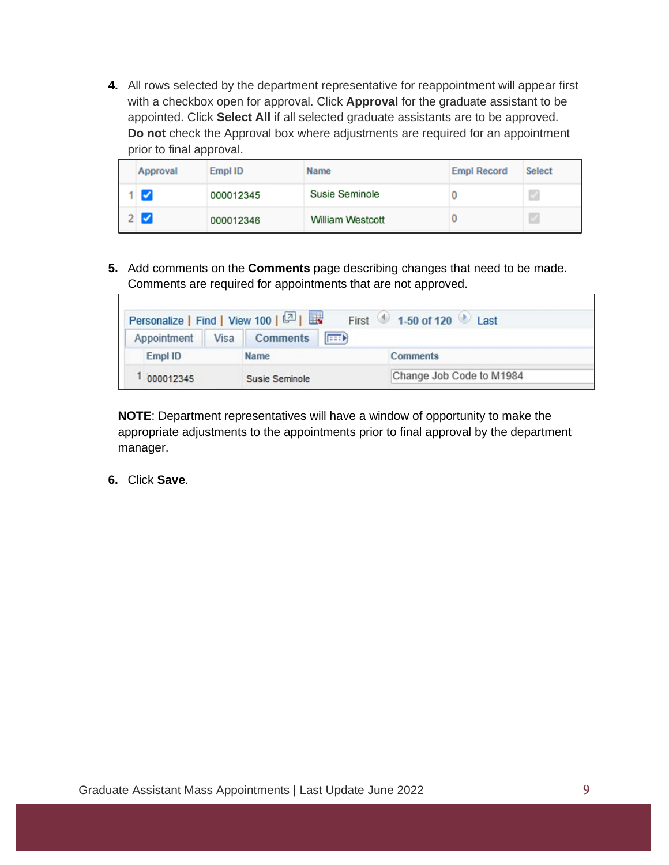**4.** All rows selected by the department representative for reappointment will appear first with a checkbox open for approval. Click **Approval** for the graduate assistant to be appointed. Click **Select All** if all selected graduate assistants are to be approved. **Do not** check the Approval box where adjustments are required for an appointment prior to final approval.

| Approval                   | Empl ID   | Name                    | <b>Empl Record</b> | <b>Select</b> |
|----------------------------|-----------|-------------------------|--------------------|---------------|
| $\boldsymbol{\mathcal{J}}$ | 000012345 | Susie Seminole          |                    |               |
| Ø                          | 000012346 | <b>William Westcott</b> |                    |               |

**5.** Add comments on the **Comments** page describing changes that need to be made. Comments are required for appointments that are not approved.

|             | Personalize   Find   View 100   2                             | First 1-50 of 120 Last   |
|-------------|---------------------------------------------------------------|--------------------------|
|             | Appointment   Visa   Comments<br>$\left  \frac{1}{2} \right $ |                          |
| Empl ID     | Name                                                          | <b>Comments</b>          |
| 1 000012345 | Susie Seminole                                                | Change Job Code to M1984 |

**NOTE**: Department representatives will have a window of opportunity to make the appropriate adjustments to the appointments prior to final approval by the department manager.

**6.** Click **Save**.

г

٦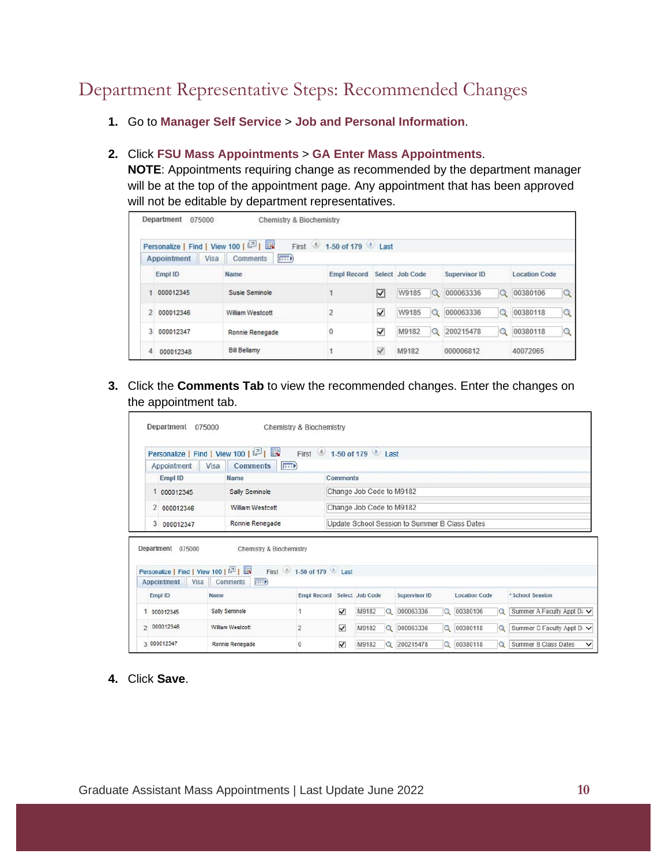# <span id="page-9-0"></span>Department Representative Steps: Recommended Changes

**1.** Go to **Manager Self Service** > **Job and Personal Information**.

#### **2.** Click **FSU Mass Appointments** > **GA Enter Mass Appointments**.

**NOTE**: Appointments requiring change as recommended by the department manager will be at the top of the appointment page. Any appointment that has been approved will not be editable by department representatives.

|   | Department<br>075000              | Chemistry & Biochemistry     |                    |                         |                 |                       |                         |
|---|-----------------------------------|------------------------------|--------------------|-------------------------|-----------------|-----------------------|-------------------------|
|   | Personalize   Find   View 100   8 |                              | First 1-50 of 179  |                         |                 |                       |                         |
|   | Visa<br>Appointment               | $  \overline{=}$<br>Comments |                    |                         |                 |                       |                         |
|   | Empl ID                           | Name                         | <b>Empl Record</b> |                         | Select Job Code | Supervisor ID         | <b>Location Code</b>    |
|   | 000012345                         | Susie Seminole               |                    | $\overline{\mathbf{z}}$ | W9185<br>Q      | 000063336<br>$\alpha$ | 00380106<br>$\mathbf Q$ |
|   | 000012346                         | William Westcott             |                    | $\overline{\checkmark}$ | Q<br>W9185      | Q<br>000063336        | $\mathbf Q$<br>00380118 |
| 3 | 000012347                         | Ronnie Renegade              | $\mathbf 0$        | √                       | Q<br>M9182      | Q<br>200215478        | 00380118<br>Q           |
| 4 | 000012348                         | <b>Bill Bellamy</b>          |                    | $\checkmark$            | M9182           | 000006812             | 40072065                |

**3.** Click the **Comments Tab** to view the recommended changes. Enter the changes on the appointment tab.

|                | Appointment | Personalize   Find   View 100   2    <br>F<br>Visa<br><b>Comments</b> |                                               |  |
|----------------|-------------|-----------------------------------------------------------------------|-----------------------------------------------|--|
|                | Empl ID     | Name                                                                  | <b>Comments</b>                               |  |
|                | 1 000012345 | Sally Seminole                                                        | Change Job Code to M9182                      |  |
| $\overline{2}$ | 000012346   | <b>William Westcott</b>                                               | Change Job Code to M9182                      |  |
| 3              | 000012347   | Ronnie Renegade                                                       | Update School Session to Summer B Class Dates |  |

|                | Personalize   Find   View 100   8 |                   | First 1-50 of 179 Last      |   |       |          |               |          |                      |         |                                      |
|----------------|-----------------------------------|-------------------|-----------------------------|---|-------|----------|---------------|----------|----------------------|---------|--------------------------------------|
|                | Appointment<br>Visa               | (FFF)<br>Comments |                             |   |       |          |               |          |                      |         |                                      |
|                | Empl ID                           | Name              | Empl Record Select Job Code |   |       |          | Supervisor ID |          | <b>Location Code</b> |         | *School Session                      |
|                | 000012345                         | Sally Seminole    |                             | V | M9182 | $\Omega$ | 000063336     | $\alpha$ | 00380106             | $\circ$ | Summer A Faculty Appt D: V           |
| $\overline{ }$ | 000012346                         | William Westcott  |                             | ⊽ | M9182 | Q        | 000063336     | $\alpha$ | 00380118             | $\circ$ | Summer C Faculty Appt D: V           |
|                | 3 000012347                       | Ronnie Renegade   |                             | ⊽ | M9182 | $\alpha$ | 200215478     | $\circ$  | 00380118             | $\circ$ | Summer B Class Dates<br>$\checkmark$ |

**4.** Click **Save**.